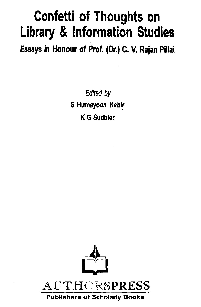# Confetti of Thoughts on Library & Information Studies

Essays in Honour of Prof. (Or.) C. V. Rajan Pillai

*Edited by* S Humayoon Kabir K G Sudhier

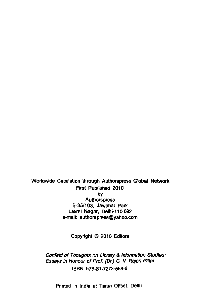Worldwide Circulation through Authorspress Global Network First Published 2010 by **Authorspress** E-35/103, Jawahar Park Laxmi Nagar, Delhi-110 092 e-mail: [authorspress@yahoo.com](mailto:authorspress@yahoo.com)

Copyright © 2010 Editors

*Confetti of Thoughts on Library & Information Studies: Essays in Honour of Prof. (Dr.) C. V. Rajan Pitlai* ISBN 978-81-7273-558-6

Printed in India at Tarun Offset, Delhi.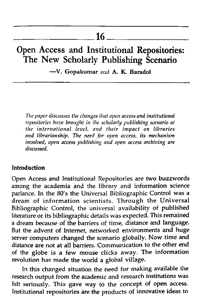## **Open Access and Institutional Repositories: The New Scholarly Publishing Scenario**

— V. Gopakumar and A. K. Baradol

*The paper discusses the changes that open access and institutional repositories have brought in the scholarly publishing scenario at the international level*, *and their impact on libraries and librarianship. The need for open access*, *its mechanism involved, open access publishing and open access archiving are discussed.*

#### Introduction

Open Access and Institutional Repositories are two buzzwords among the academia and the library and information science parlance. In the 80's the Universal Bibliographic Control was a dream of information scientists. Through the Universal Bibliographic Control, the universal availability of published literature or its bibliographic details was expected. This remained a dream because of the barriers of time, distance and language. But the advent of Internet, networked environments and huge server computers changed the scenario globally. Now time and distance are not at all barriers. Communication to the other end of the globe is a few mouse clicks away. The information revolution has made the world a global village.

In this changed situation the need for making available the research output from the academic and research institutions was felt seriously. This gave way to the concept of open access. Institutional repositories are the products of innovative ideas to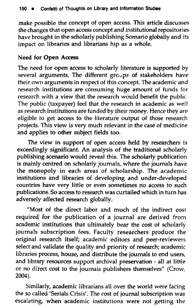make possible the concept of open access. This article discusses the changes that open access concept and institutional repositories have brought in the scholarly publishing Scenario globally and its impact on libraries and librarians hip as a whole.

#### Need for Open Access

The need for open access to scholarly literature is supported by several arguments. The different groups of stakeholders have their own arguments in respect of this concept. The academic and research institutions are consuming huge amount of funds for research with a view that the research would benefit the public. The public (taxpayer) feel that the research in academic as well as research institutions are funded by their money. Hence they are eligible to get access to the literature output of those research projects. This view is very much relevant in the case of medicine and applies to other subject fields too.

The view in support of open access held by researchers is exceedingly significant. An analysis of the traditional scholarly publishing scenario would reveal this. The scholarly publication is mainly centred on scholarly journals, where the journals have the monopoly in each areas of scholarship. The academic institutions and libraries of developing and under-developed countries have very little or even sometimes no access to such publications. So access to research was curtailed which in turn has adversely affected research globally.

"Most of the direct labor and much of the indirect cost required for the publication of a journal are derived from academic institutions that ultimately bear the cost of scholarly journals subscription fees. Faculty researchers produce the original research itself; academic editors and peer-reviewers select and validate the quality and priority of research; academic libraries process, house, and distribute the journals to end users, and library resources support archival preservation - all at little or no direct cost to the journals publishers themselves" (Crow, 2004).

Similarly, academic librarians all over the world were facing the so called 'Serials Crisis'. The cost of journal subscription was escalating, when academic institutions were not getting the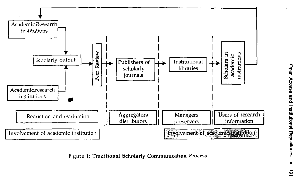

Figure 1: Traditional Scholarly Communication Process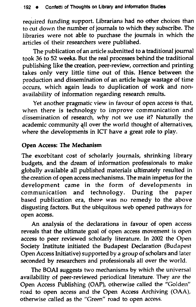required funding support. Librarians had no other choices than to cut down the number of journals to which they subscribe. The libraries were not able to purchase the journals in which the articles of their researchers were published.

The publication of an article submitted to a traditional journal took 36 to 52 weeks. But the real processes behind the traditional publishing like the creation, peer-review, correction and printing takes only very little time out of this. Hence between the production and dissemination of an article huge wastage of time occurs, which again leads to duplication of work and nonavailability of information regarding research results.

Yet another pragmatic view in favour of open access is that, when there is technology to improve communication and dissemination of research, why not we use it? Naturally the academic community all over the world thought of alternatives, where the developments in ICT have a great role to play.

#### Open Access: The Mechanism

The exorbitant cost of scholarly journals, shrinking library budgets, and the dream of information professionals to make globally available all published materials ultimately resulted in the creation of open access mechanisms. The main impetus for the development came in the form of developments in communication and technology. During the paper based publication era, there was no remedy to the above disgusting factors. But the ubiquitous web opened pathways for open access.

An analysis of the declarations in favour of open access reveals that the ultimate goal of open access movement is open access to peer reviewed scholarly literature. In 2002 the Open Society Institute initiated the Budapest Declaration (Budapest Open Access Initiative) supported by a group of scholars and later seconded by researchers and professionals all over the world.

The BOAI suggests two mechanisms by which the universal availability of peer-reviewed periodical literature. They are the Open Access Publishing (OAP), otherwise called the "Golden" road to open access and the Open Access Archiving (OAA), otherwise called as the "Green" road to open access.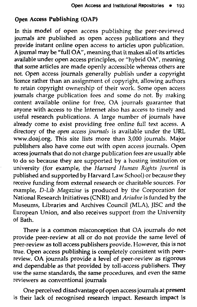#### Open Access Publishing (OAP)

In this model of open access publishing the peer-reviewed journals are published as open access publications and they provide instant online open access to articles upon publication. A journal may be "full OA", meaning that it makes all of its articles available under open access principles, or "hybrid OA", meaning that some articles are made openly accessible whereas others are not. Open access journals generally publish under a copyright licence rather than an assignment of copyright, allowing authors to retain copyright ownership of their work. Some open access journals charge publication fees and some do not. By making content available online for free, OA journals guarantee that anyone with access to the Internet also has access to timely and useful research publications. A large number of journals have already come to exist providing free online full text access. A directory of the *open access journals* is available under the URL [www.doaj.org.](http://www.doaj.org) This site lists more than 3,000 journals. Major publishers also have come out with open access journals. Open access journals that do not charge publication fees are usually able to do so because they are supported by a hosting institution or university (for example, the *Harvard Human Rights Journal* is published and supported by Harvard Law School) or because they receive funding from external research or charitable sources. For example, *D-Lib Magazine* is produced by the Corporation for National Research Initiatives (CNRI) and *Ariadne* is funded by the Museums, Libraries and Archives Council (MLA), JISC and the European Union, and also receives support from the University of Bath.

There is a common misconception that OA journals do not provide peer-review at all or do not provide the same level of peer-review as toll access publishers provide. However, this is not true. Open access publishing is completely consistent with peerreview. OA journals provide a level of peer-review as rigorous and dependable as that provided by toll-access publishers. They use the same standards, the same procedures, and even the same reviewers as conventional journals

One perceived disadvantage of open access journals at present is their lack of recognised research impact. Research impact is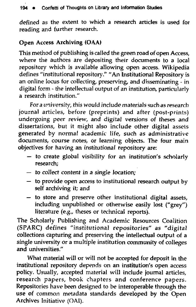defined as the extent to which a research articles is used for reading and further research.

#### Open Access Archiving (OAA)

This method of publishing is called the green road of open Access, where the authors are depositing their documents to a local repository which is available allowing open access. Wikipedia defines "institutional repository/' "An Institutional Repository is an online locus for collecting, preserving, and disseminating - in digital form - the intellectual output of an institution, particularly a research institution."

Fora university, this would include materials suchas research journal articles, before (preprints) and after (post-prints) undergoing peer review, and digital versions of theses and dissertations, but it might also include other digital assets generated by normal academic life, such as administrative documents, course notes, or learning objects. The four main objectives for having an institutional repository are:

- to create global visibility for an institution's scholarly research;
- $-$  to collect content in a single location;
- to provide open access to institutional research output by self archiving it; and
- to store and preserve other institutional digital assets, including unpublished or otherwise easily lost ("grey") literature (e.g., theses or technical reports).

The Scholarly Publishing and Academic Resources Coalition (SPARC) defines "institutional rep ositories" as *'"digital* collections capturing and preserving the intellectual output of a single university or a multiple institution community of colleges and universities "

What material will or will not be accepted for deposit in the institutional repository depends on an institution's open access policy. Usually, accepted material will include journal articles, research papers, book chapters and conference papers. Repositories have been designed to be interoperable through the use of common metadata standards developed by the Open Archives Initiative (OAI),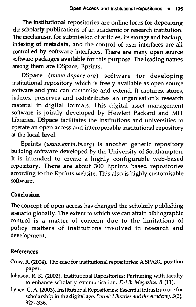The institutional repositories are online locus for depositing the scholarly publications of an academic or research institution. The mechanism for submission of articles, its storage and backup, indexing of metadata, and the control of user interfaces are all controlled by software interfaces. There are many open source software packages available for this purpose. The leading names among them are DSpace, Eprints.

DSpace (www.dspace.org) software for developing institutional repository which is freely available as open source software and you can customise and extend. It captures, stores, indexes, preserves and redistributes an organisation's research material in digital formats. This digital asset management software is jointly developed by Hewlett Packard and MIT Libraries. DSpace facilitates the institutions and universities to operate an open access and interoperable institutional repository at the local level.

Eprints (www.eprin.ts.org) is another generic repository building software developed by the University of Southampton. It is intended to create a highly configurable web-based repository. There are about 300 Eprints based repositories according to the Eprints website. This also is highly customisable software.

### Conclusion

The concept of open access has changed the scholarly publishing scenario globally. The extent to which we can attain bibliographic control is a matter of concern due to the limitations of policy matters of institutions involved in research and development.

#### References

- Crow, R. (2004). The case for institutional repositories: A SPARC position paper.
- Johnson, R. K. (2002). Institutional Repositories: Partnering with faculty to enhance scholarly communication. *D-Lib Magazine*, 8 (11).
- Lynch, C. A. (2003). Institutional Repositories: Essential infrastructure for scholarship in the digital age. *Portal: Libraries and the Academy*, 3(2), 327-336.